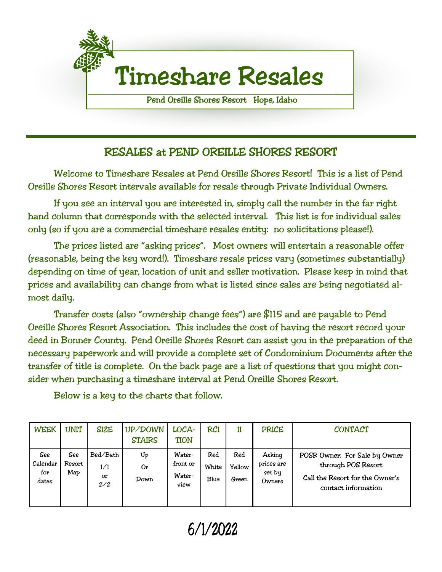

### RESALES at PEND OREILLE SHORES RESORT

Welcome to Timeshare Resales at Pend Oreille Shores Resort! This is a list of Pend Oreille Shores Resort intervals available for resale through Private Individual Owners.

If you see an interval you are interested in, simply call the number in the far right hand column that corresponds with the selected interval. This list is for individual sales only (so if you are a commercial timeshare resales entity: no solicitations please!).

The prices listed are "asking prices". Most owners will entertain a reasonable offer (reasonable, being the key word!). Timeshare resale prices vary (sometimes substantially) depending on time of year, location of unit and seller motivation. Please keep in mind that prices and availability can change from what is listed since sales are being negotiated almost daily.

Transfer costs (also "ownership change fees") are \$115 and are payable to Pend Oreille Shores Resort Association. This includes the cost of having the resort record your deed in Bonner County. Pend Oreille Shores Resort can assist you in the preparation of the necessary paperwork and will provide a complete set of Condominium Documents after the transfer of title is complete. On the back page are a list of questions that you might consider when purchasing a timeshare interval at Pend Oreille Shores Resort.

| <b>WEEK</b>                     | <b>UNIT</b>          | <b>SIZE</b>                  | UP/DOWN<br><b>STAIRS</b>            | LOCA-<br><b>TION</b>                 | <b>RCI</b>           |                        | <b>PRICE</b>                             | <b>CONTACT</b>                                                                                                |
|---------------------------------|----------------------|------------------------------|-------------------------------------|--------------------------------------|----------------------|------------------------|------------------------------------------|---------------------------------------------------------------------------------------------------------------|
| See<br>Calendar<br>for<br>dates | See<br>Resort<br>Map | Bed/Bath<br>1/1<br>or<br>2/2 | $U_{\text{P}}$<br><b>Or</b><br>Down | Water-<br>front or<br>Water-<br>view | Red<br>White<br>Blue | Red<br>Yellow<br>Green | Asking<br>prices are<br>set by<br>Owners | POSR Owner: For Sale by Owner<br>through POS Resort<br>Call the Resort for the Owner's<br>contact information |

Below is a key to the charts that follow.

6/1/2022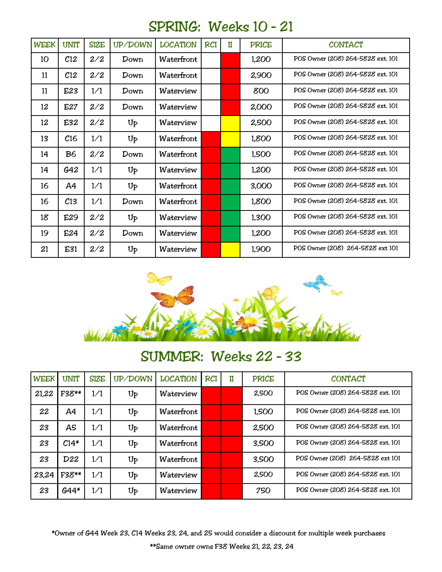## SPRING: Weeks 10 – 21

| <b>WEEK</b> | <b>UNIT</b>     | <b>SIZE</b> | UP/DOWN          | <b>LOCATION</b> | <b>RCI</b> | $\mathbf I$ | <b>PRICE</b> | <b>CONTACT</b>                    |
|-------------|-----------------|-------------|------------------|-----------------|------------|-------------|--------------|-----------------------------------|
| 10          | C <sub>12</sub> | 2/2         | Down             | Waterfront      |            |             | 1,200        | POS Owner (208) 264-5828 ext. 101 |
| 11          | C <sub>12</sub> | 2/2         | Down             | Waterfront      |            |             | 2,900        | POS Owner (208) 264-5828 ext. 101 |
| 11          | E23             | 1/1         | Down             | Waterview       |            |             | 800          | POS Owner (208) 264-5828 ext. 101 |
| 12          | E27             | 2/2         | Down             | Waterview       |            |             | 2,000        | POS Owner (208) 264-5828 ext. 101 |
| 12          | E32             | 2/2         | $U_{\mathsf{P}}$ | Waterview       |            |             | 2,500        | POS Owner (208) 264-5828 ext. 101 |
| 13          | C16             | 1/1         | $U_{\mathsf{P}}$ | Waterfront      |            |             | 1,800        | POS Owner (208) 264-5828 ext. 101 |
| 14          | <b>B6</b>       | 2/2         | Down             | Waterfront      |            |             | 1,500        | POS Owner (208) 264-5828 ext. 101 |
| 14          | G42             | 1/1         | $U_{\mathsf{P}}$ | Waterview       |            |             | 1,200        | POS Owner (208) 264-5828 ext. 101 |
| 16          | A4              | 1/1         | $U_{P}$          | Waterfront      |            |             | 3,000        | POS Owner (208) 264-5828 ext. 101 |
| 16          | C <sub>13</sub> | 1/1         | Down             | Waterfront      |            |             | 1,800        | POS Owner (208) 264-5828 ext. 101 |
| 18          | E29             | 2/2         | $U_{P}$          | Waterview       |            |             | 1,300        | POS Owner (208) 264-5828 ext. 101 |
| 19          | E24             | 2/2         | Down             | Waterview       |            |             | 1,200        | POS Owner (208) 264-5828 ext. 101 |
| 21          | E31             | 2/2         | $U_{P}$          | Waterview       |            |             | 1,900        | POS Owner (208) 264-5828 ext 101  |



## SUMMER: Weeks 22 – 33

| <b>WEEK</b> | UNIT   | <b>SIZE</b> | UP/DOWN | <b>LOCATION</b> | <b>RCI</b> | Ħ | <b>PRICE</b> | <b>CONTACT</b>                    |
|-------------|--------|-------------|---------|-----------------|------------|---|--------------|-----------------------------------|
| 21,22       | F38**  | 1/1         | Up      | Waterview       |            |   | 2,500        | POS Owner (208) 264-5828 ext. 101 |
| 22          | A4     | 1/1         | Up      | Waterfront      |            |   | 1,500        | POS Owner (208) 264-5828 ext. 101 |
| 23          | A5     | 1/1         | Up      | Waterfront      |            |   | 2,500        | POS Owner (208) 264-5828 ext. 101 |
| 23          | $C14*$ | 1/1         | Up      | Waterfront      |            |   | 3,500        | POS Owner (208) 264-5828 ext. 101 |
| 23          | D22    | 1/1         | Up      | Waterfront      |            |   | 3,500        | POS Owner (208) 264-5828 ext 101  |
| 23,24       | F38**  | 1/1         | Up      | Waterview       |            |   | 2,500        | POS Owner (208) 264-5828 ext. 101 |
| 23          | $644*$ | 1/1         | Up      | Waterview       |            |   | 750          | POS Owner (208) 264-5828 ext. 101 |

\*Owner of G44 Week 23, C14 Weeks 23, 24, and 25 would consider a discount for multiple week purchases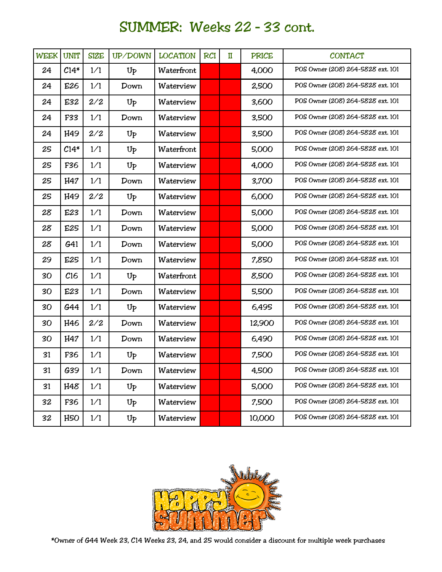# SUMMER: Weeks 22 – 33 cont.

| <b>WEEK</b> | <b>UNIT</b>     | <b>SIZE</b> | UP/DOWN          | <b>LOCATION</b> | <b>RCI</b> | $\mathbf{I}$ | <b>PRICE</b> | <b>CONTACT</b>                    |
|-------------|-----------------|-------------|------------------|-----------------|------------|--------------|--------------|-----------------------------------|
| 24          | $C14*$          | 1/1         | U <sub>p</sub>   | Waterfront      |            |              | 4,000        | POS Owner (208) 264-5828 ext. 101 |
| 24          | E26             | 1/1         | Down             | Waterview       |            |              | 2,500        | POS Owner (208) 264-5828 ext. 101 |
| 24          | E32             | 2/2         | $U_{P}$          | Waterview       |            |              | 3,600        | POS Owner (208) 264-5828 ext. 101 |
| 24          | F33             | 1/1         | Down             | Waterview       |            |              | 3,500        | POS Owner (208) 264-5828 ext. 101 |
| 24          | H49             | 2/2         | Up               | Waterview       |            |              | 3,500        | POS Owner (208) 264-5828 ext. 101 |
| 25          | $C14*$          | 1/1         | $U_{P}$          | Waterfront      |            |              | 5,000        | POS Owner (208) 264-5828 ext. 101 |
| 25          | F36             | 1/1         | $U_{P}$          | Waterview       |            |              | 4,000        | POS Owner (208) 264-5828 ext. 101 |
| 25          | H47             | 1/1         | Down             | Waterview       |            |              | 3,700        | POS Owner (208) 264-5828 ext. 101 |
| 25          | H49             | 2/2         | U <sub>P</sub>   | Waterview       |            |              | 6,000        | POS Owner (208) 264-5828 ext. 101 |
| 28          | E23             | 1/1         | Down             | Waterview       |            |              | 5,000        | POS Owner (208) 264-5828 ext. 101 |
| 28          | E25             | 1/1         | Down             | Waterview       |            |              | 5,000        | POS Owner (208) 264-5828 ext. 101 |
| 28          | G <sub>41</sub> | 1/1         | Down             | Waterview       |            |              | 5,000        | POS Owner (208) 264-5828 ext. 101 |
| 29          | E25             | 1/1         | Down             | Waterview       |            |              | 7,850        | POS Owner (208) 264-5828 ext. 101 |
| 30          | C16             | 1/1         | Up               | Waterfront      |            |              | 8,500        | POS Owner (208) 264-5828 ext. 101 |
| 30          | E23             | 1/1         | Down             | Waterview       |            |              | 5,500        | POS Owner (208) 264-5828 ext. 101 |
| 30          | G44             | 1/1         | Up               | Waterview       |            |              | 6,495        | POS Owner (208) 264-5828 ext. 101 |
| 30          | H46             | 2/2         | Down             | Waterview       |            |              | 12,900       | POS Owner (208) 264-5828 ext. 101 |
| 30          | H47             | 1/1         | Down             | Waterview       |            |              | 6,490        | POS Owner (208) 264-5828 ext. 101 |
| 31          | F36             | 1/1         | Up               | Waterview       |            |              | 7,500        | POS Owner (208) 264-5828 ext. 101 |
| 31          | G39             | 1/1         | Down             | Waterview       |            |              | 4,500        | POS Owner (208) 264-5828 ext. 101 |
| 31          | H48             | 1/1         | $U_{P}$          | Waterview       |            |              | 5,000        | POS Owner (208) 264-5828 ext. 101 |
| 32          | F36             | 1/1         | $U_{\mathsf{P}}$ | Waterview       |            |              | 7,500        | POS Owner (208) 264-5828 ext. 101 |
| 32          | H5O             | 1/1         | $U_{P}$          | Waterview       |            |              | 10,000       | POS Owner (208) 264-5828 ext. 101 |

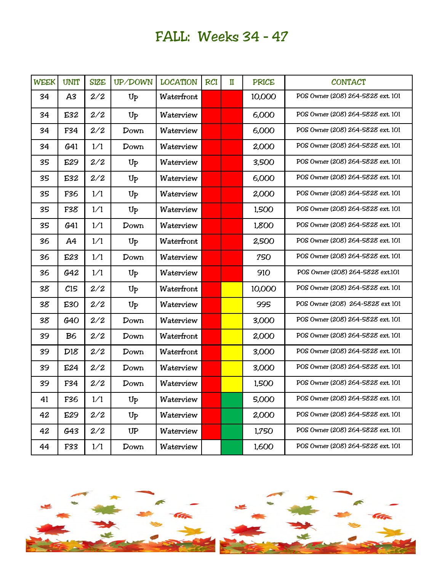# FALL: Weeks 34 – 47

| <b>WEEK</b> | <b>UNIT</b>     | <b>SIZE</b> | UP/DOWN | <b>LOCATION</b> | <b>RCI</b> | $\mathbf I$ | <b>PRICE</b> | <b>CONTACT</b>                    |
|-------------|-----------------|-------------|---------|-----------------|------------|-------------|--------------|-----------------------------------|
| 34          | A3              | 2/2         | $U_{P}$ | Waterfront      |            |             | 10,000       | POS Owner (208) 264-5828 ext. 101 |
| 34          | E32             | 2/2         | $U_{P}$ | Waterview       |            |             | 6,000        | POS Owner (208) 264-5828 ext. 101 |
| 34          | F34             | 2/2         | Down    | Waterview       |            |             | 6,000        | POS Owner (208) 264-5828 ext. 101 |
| 34          | G41             | 1/1         | Down    | Waterview       |            |             | 2,000        | POS Owner (208) 264-5828 ext. 101 |
| 35          | E29             | 2/2         | Up      | Waterview       |            |             | 3,500        | POS Owner (208) 264-5828 ext. 101 |
| 35          | E32             | 2/2         | $U_{P}$ | Waterview       |            |             | 6,000        | POS Owner (208) 264-5828 ext. 101 |
| 35          | F36             | 1/1         | $U_{P}$ | Waterview       |            |             | 2,000        | POS Owner (208) 264-5828 ext. 101 |
| 35          | F38             | 1/1         | $U_{P}$ | Waterview       |            |             | 1,500        | POS Owner (208) 264-5828 ext. 101 |
| 35          | G <sub>41</sub> | 1/1         | Down    | Waterview       |            |             | 1,800        | POS Owner (208) 264-5828 ext. 101 |
| 36          | A4              | 1/1         | Up      | Waterfront      |            |             | 2,500        | POS Owner (208) 264-5828 ext. 101 |
| 36          | E23             | 1/1         | Down    | Waterview       |            |             | 750          | POS Owner (208) 264-5828 ext. 101 |
| 36          | G42             | 1/1         | $U_{P}$ | Waterview       |            |             | 910          | POS Owner (208) 264-5828 ext.101  |
| 38          | C15             | 2/2         | $U_{P}$ | Waterfront      |            |             | 10,000       | POS Owner (208) 264-5828 ext. 101 |
| 38          | E30             | 2/2         | $U_{P}$ | Waterview       |            |             | 995          | POS Owner (208) 264-5828 ext 101  |
| 38          | G40             | 2/2         | Down    | Waterview       |            |             | 3,000        | POS Owner (208) 264-5828 ext. 101 |
| 39          | B <sub>6</sub>  | 2/2         | Down    | Waterfront      |            |             | 2,000        | POS Owner (208) 264-5828 ext. 101 |
| 39          | D18             | 2/2         | Down    | Waterfront      |            |             | 3,000        | POS Owner (208) 264-5828 ext. 101 |
| 39          | E24             | 2/2         | Down    | Waterview       |            |             | 3,000        | POS Owner (208) 264-5828 ext. 101 |
| 39          | F34             | 2/2         | Down    | Waterview       |            |             | 1,500        | POS Owner (208) 264-5828 ext. 101 |
| 41          | F36             | 1/1         | $U_{P}$ | Waterview       |            |             | 5,000        | POS Owner (208) 264-5828 ext. 101 |
| 42          | E29             | 2/2         | $U_{P}$ | Waterview       |            |             | 2,000        | POS Owner (208) 264-5828 ext. 101 |
| 42          | G43             | 2/2         | UP      | Waterview       |            |             | 1,750        | POS Owner (208) 264-5828 ext. 101 |
| 44          | F33             | 1/1         | Down    | Waterview       |            |             | 1,600        | POS Owner (208) 264-5828 ext. 101 |

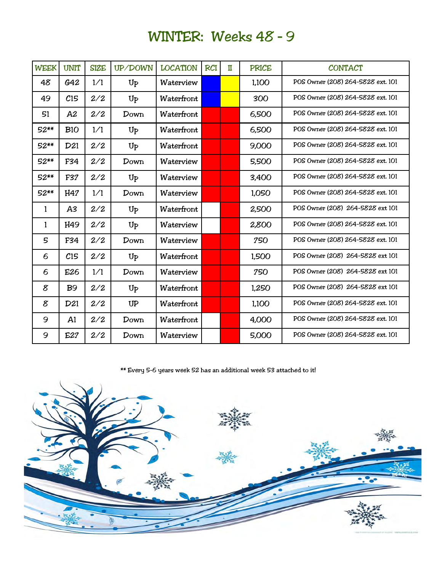# WINTER: Weeks 48 – 9

| <b>WEEK</b> | <b>UNIT</b>    | <b>SIZE</b> | UP/DOWN           | <b>LOCATION</b> | <b>RCI</b> | $\mathbf I$ | <b>PRICE</b> | <b>CONTACT</b>                    |
|-------------|----------------|-------------|-------------------|-----------------|------------|-------------|--------------|-----------------------------------|
| 48          | G42            | 1/1         | $U_{P}$           | Waterview       |            |             | 1,100        | POS Owner (208) 264-5828 ext. 101 |
| 49          | C15            | 2/2         | $U_{\mathcal{P}}$ | Waterfront      |            |             | 300          | POS Owner (208) 264-5828 ext. 101 |
| 51          | A2             | 2/2         | Down              | Waterfront      |            |             | 6,500        | POS Owner (208) 264-5828 ext. 101 |
| 52**        | B10            | 1/1         | Up                | Waterfront      |            |             | 6,500        | POS Owner (208) 264-5828 ext. 101 |
| 52**        | D21            | 2/2         | $U_{\mathcal{P}}$ | Waterfront      |            |             | 9,000        | POS Owner (208) 264-5828 ext. 101 |
| 52**        | F34            | 2/2         | Down              | Waterview       |            |             | 5,500        | POS Owner (208) 264-5828 ext. 101 |
| 52**        | F37            | 2/2         | $U_{\mathsf{P}}$  | Waterview       |            |             | 3,400        | POS Owner (208) 264-5828 ext. 101 |
| 52**        | H47            | 1/1         | Down              | Waterview       |            |             | 1,050        | POS Owner (208) 264-5828 ext. 101 |
| 1           | A <sub>3</sub> | 2/2         | $U_{\mathcal{P}}$ | Waterfront      |            |             | 2,500        | POS Owner (208) 264-5828 ext 101  |
| 1           | H49            | 2/2         | $U_{P}$           | Waterview       |            |             | 2,800        | POS Owner (208) 264-5828 ext. 101 |
| 5           | F34            | 2/2         | Down              | Waterview       |            |             | 750          | POS Owner (208) 264-5828 ext. 101 |
| 6           | C15            | 2/2         | $U_{P}$           | Waterfront      |            |             | 1,500        | POS Owner (208) 264-5828 ext 101  |
| 6           | E26            | 1/1         | Down              | Waterview       |            |             | 750          | POS Owner (208) 264-5828 ext 101  |
| 8           | <b>B</b> 9     | 2/2         | $U_{P}$           | Waterfront      |            |             | 1,250        | POS Owner (208) 264-5828 ext 101  |
| 8           | D21            | 2/2         | UP                | Waterfront      |            |             | 1,100        | POS Owner (208) 264-5828 ext. 101 |
| 9           | A1             | 2/2         | Down              | Waterfront      |            |             | 4,000        | POS Owner (208) 264-5828 ext. 101 |
| 9           | E27            | 2/2         | Down              | Waterview       |            |             | 5,000        | POS Owner (208) 264-5828 ext. 101 |

\*\* Every 5-6 years week 52 has an additional week 53 attached to it!